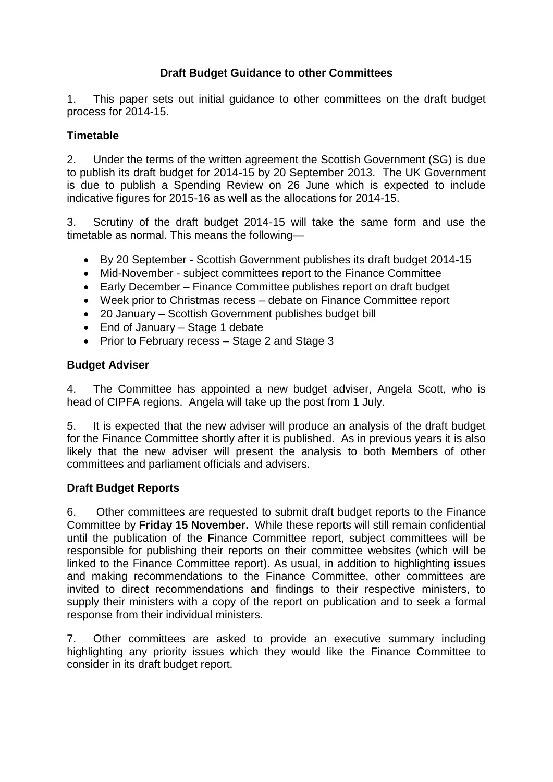# **Draft Budget Guidance to other Committees**

1. This paper sets out initial guidance to other committees on the draft budget process for 2014-15.

# **Timetable**

2. Under the terms of the written agreement the Scottish Government (SG) is due to publish its draft budget for 2014-15 by 20 September 2013. The UK Government is due to publish a Spending Review on 26 June which is expected to include indicative figures for 2015-16 as well as the allocations for 2014-15.

3. Scrutiny of the draft budget 2014-15 will take the same form and use the timetable as normal. This means the following—

- By 20 September Scottish Government publishes its draft budget 2014-15
- Mid-November subject committees report to the Finance Committee
- Early December Finance Committee publishes report on draft budget
- Week prior to Christmas recess debate on Finance Committee report
- 20 January Scottish Government publishes budget bill
- End of January Stage 1 debate
- Prior to February recess Stage 2 and Stage 3

#### **Budget Adviser**

4. The Committee has appointed a new budget adviser, Angela Scott, who is head of CIPFA regions. Angela will take up the post from 1 July.

5. It is expected that the new adviser will produce an analysis of the draft budget for the Finance Committee shortly after it is published. As in previous years it is also likely that the new adviser will present the analysis to both Members of other committees and parliament officials and advisers.

#### **Draft Budget Reports**

6. Other committees are requested to submit draft budget reports to the Finance Committee by **Friday 15 November.** While these reports will still remain confidential until the publication of the Finance Committee report, subject committees will be responsible for publishing their reports on their committee websites (which will be linked to the Finance Committee report). As usual, in addition to highlighting issues and making recommendations to the Finance Committee, other committees are invited to direct recommendations and findings to their respective ministers, to supply their ministers with a copy of the report on publication and to seek a formal response from their individual ministers.

7. Other committees are asked to provide an executive summary including highlighting any priority issues which they would like the Finance Committee to consider in its draft budget report.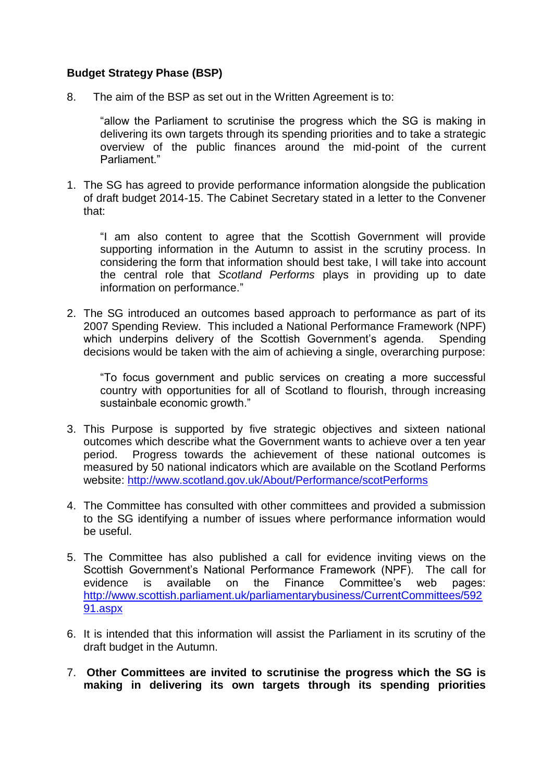#### **Budget Strategy Phase (BSP)**

8. The aim of the BSP as set out in the Written Agreement is to:

"allow the Parliament to scrutinise the progress which the SG is making in delivering its own targets through its spending priorities and to take a strategic overview of the public finances around the mid-point of the current Parliament."

1. The SG has agreed to provide performance information alongside the publication of draft budget 2014-15. The Cabinet Secretary stated in a letter to the Convener that:

"I am also content to agree that the Scottish Government will provide supporting information in the Autumn to assist in the scrutiny process. In considering the form that information should best take, I will take into account the central role that *Scotland Performs* plays in providing up to date information on performance."

2. The SG introduced an outcomes based approach to performance as part of its 2007 Spending Review. This included a National Performance Framework (NPF) which underpins delivery of the Scottish Government's agenda. Spending decisions would be taken with the aim of achieving a single, overarching purpose:

"To focus government and public services on creating a more successful country with opportunities for all of Scotland to flourish, through increasing sustainbale economic growth."

- 3. This Purpose is supported by five strategic objectives and sixteen national outcomes which describe what the Government wants to achieve over a ten year period. Progress towards the achievement of these national outcomes is measured by 50 national indicators which are available on the Scotland Performs website:<http://www.scotland.gov.uk/About/Performance/scotPerforms>
- 4. The Committee has consulted with other committees and provided a submission to the SG identifying a number of issues where performance information would be useful.
- 5. The Committee has also published a call for evidence inviting views on the Scottish Government's National Performance Framework (NPF). The call for evidence is available on the Finance Committee's web pages: [http://www.scottish.parliament.uk/parliamentarybusiness/CurrentCommittees/592](http://www.scottish.parliament.uk/parliamentarybusiness/CurrentCommittees/59291.aspx) [91.aspx](http://www.scottish.parliament.uk/parliamentarybusiness/CurrentCommittees/59291.aspx)
- 6. It is intended that this information will assist the Parliament in its scrutiny of the draft budget in the Autumn.
- 7. **Other Committees are invited to scrutinise the progress which the SG is making in delivering its own targets through its spending priorities**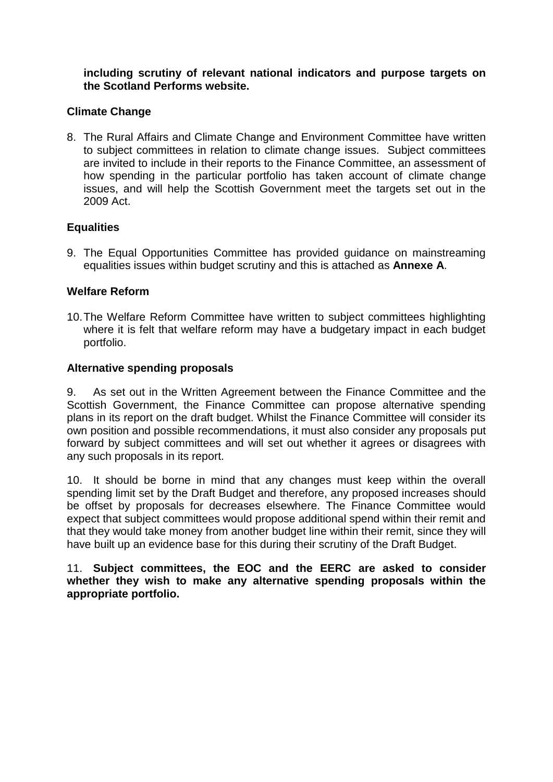**including scrutiny of relevant national indicators and purpose targets on the Scotland Performs website.**

### **Climate Change**

8. The Rural Affairs and Climate Change and Environment Committee have written to subject committees in relation to climate change issues. Subject committees are invited to include in their reports to the Finance Committee, an assessment of how spending in the particular portfolio has taken account of climate change issues, and will help the Scottish Government meet the targets set out in the 2009 Act.

#### **Equalities**

9. The Equal Opportunities Committee has provided guidance on mainstreaming equalities issues within budget scrutiny and this is attached as **Annexe A**.

### **Welfare Reform**

10.The Welfare Reform Committee have written to subject committees highlighting where it is felt that welfare reform may have a budgetary impact in each budget portfolio.

#### **Alternative spending proposals**

9. As set out in the Written Agreement between the Finance Committee and the Scottish Government, the Finance Committee can propose alternative spending plans in its report on the draft budget. Whilst the Finance Committee will consider its own position and possible recommendations, it must also consider any proposals put forward by subject committees and will set out whether it agrees or disagrees with any such proposals in its report.

10. It should be borne in mind that any changes must keep within the overall spending limit set by the Draft Budget and therefore, any proposed increases should be offset by proposals for decreases elsewhere. The Finance Committee would expect that subject committees would propose additional spend within their remit and that they would take money from another budget line within their remit, since they will have built up an evidence base for this during their scrutiny of the Draft Budget.

11. **Subject committees, the EOC and the EERC are asked to consider whether they wish to make any alternative spending proposals within the appropriate portfolio.**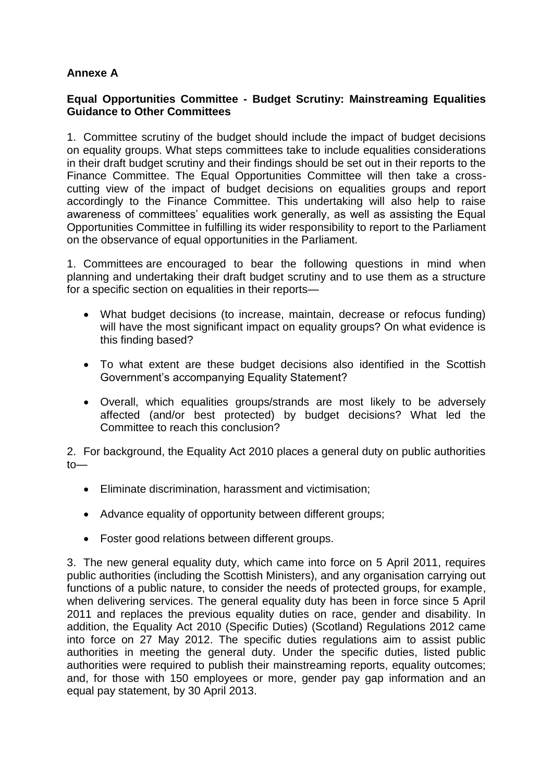# **Annexe A**

### **Equal Opportunities Committee - Budget Scrutiny: Mainstreaming Equalities Guidance to Other Committees**

1. Committee scrutiny of the budget should include the impact of budget decisions on equality groups. What steps committees take to include equalities considerations in their draft budget scrutiny and their findings should be set out in their reports to the Finance Committee. The Equal Opportunities Committee will then take a crosscutting view of the impact of budget decisions on equalities groups and report accordingly to the Finance Committee. This undertaking will also help to raise awareness of committees' equalities work generally, as well as assisting the Equal Opportunities Committee in fulfilling its wider responsibility to report to the Parliament on the observance of equal opportunities in the Parliament.

1. Committees are encouraged to bear the following questions in mind when planning and undertaking their draft budget scrutiny and to use them as a structure for a specific section on equalities in their reports—

- What budget decisions (to increase, maintain, decrease or refocus funding) will have the most significant impact on equality groups? On what evidence is this finding based?
- To what extent are these budget decisions also identified in the Scottish Government's accompanying Equality Statement?
- Overall, which equalities groups/strands are most likely to be adversely affected (and/or best protected) by budget decisions? What led the Committee to reach this conclusion?

2. For background, the Equality Act 2010 places a general duty on public authorities to—

- Eliminate discrimination, harassment and victimisation;
- Advance equality of opportunity between different groups;
- Foster good relations between different groups.

3. The new general equality duty, which came into force on 5 April 2011, requires public authorities (including the Scottish Ministers), and any organisation carrying out functions of a public nature, to consider the needs of protected groups, for example, when delivering services. The general equality duty has been in force since 5 April 2011 and replaces the previous equality duties on race, gender and disability. In addition, the Equality Act 2010 (Specific Duties) (Scotland) Regulations 2012 came into force on 27 May 2012. The specific duties regulations aim to assist public authorities in meeting the general duty. Under the specific duties, listed public authorities were required to publish their mainstreaming reports, equality outcomes; and, for those with 150 employees or more, gender pay gap information and an equal pay statement, by 30 April 2013.